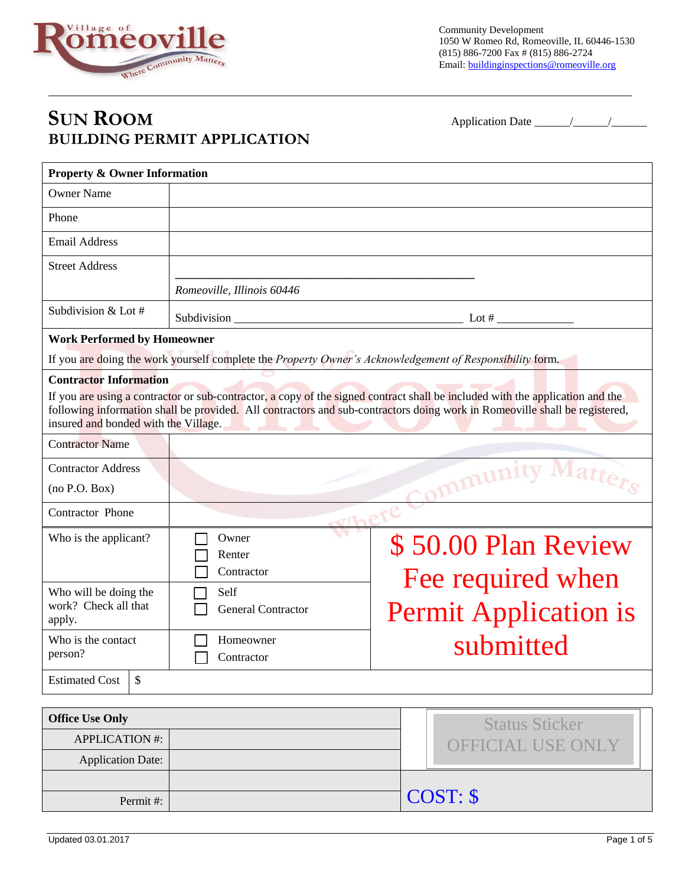

Community Development 1050 W Romeo Rd, Romeoville, IL 60446-1530 (815) 886-7200 Fax # (815) 886-2724 Email: buildinginspections@romeoville.org

## **SUN ROOM** Application Date \_\_\_\_\_\_/\_\_\_\_\_\_/\_\_\_\_\_\_ **BUILDING PERMIT APPLICATION**

| <b>Property &amp; Owner Information</b> |                                                                                                          |                                                                                                                                                                                                                                                             |  |  |
|-----------------------------------------|----------------------------------------------------------------------------------------------------------|-------------------------------------------------------------------------------------------------------------------------------------------------------------------------------------------------------------------------------------------------------------|--|--|
| <b>Owner Name</b>                       |                                                                                                          |                                                                                                                                                                                                                                                             |  |  |
| Phone                                   |                                                                                                          |                                                                                                                                                                                                                                                             |  |  |
| <b>Email Address</b>                    |                                                                                                          |                                                                                                                                                                                                                                                             |  |  |
| <b>Street Address</b>                   |                                                                                                          |                                                                                                                                                                                                                                                             |  |  |
|                                         | Romeoville, Illinois 60446                                                                               |                                                                                                                                                                                                                                                             |  |  |
| Subdivision & Lot #                     |                                                                                                          |                                                                                                                                                                                                                                                             |  |  |
| <b>Work Performed by Homeowner</b>      |                                                                                                          |                                                                                                                                                                                                                                                             |  |  |
|                                         | If you are doing the work yourself complete the Property Owner's Acknowledgement of Responsibility form. |                                                                                                                                                                                                                                                             |  |  |
| <b>Contractor Information</b>           |                                                                                                          |                                                                                                                                                                                                                                                             |  |  |
| insured and bonded with the Village.    |                                                                                                          | If you are using a contractor or sub-contractor, a copy of the signed contract shall be included with the application and the<br>following information shall be provided. All contractors and sub-contractors doing work in Romeoville shall be registered, |  |  |
| <b>Contractor Name</b>                  |                                                                                                          |                                                                                                                                                                                                                                                             |  |  |
| <b>Contractor Address</b>               | mmunity Mar                                                                                              |                                                                                                                                                                                                                                                             |  |  |
| (no P.O. Box)                           |                                                                                                          |                                                                                                                                                                                                                                                             |  |  |
| Contractor Phone                        |                                                                                                          |                                                                                                                                                                                                                                                             |  |  |
| Who is the applicant?                   | Owner<br>\$50.00 Plan Review                                                                             |                                                                                                                                                                                                                                                             |  |  |
|                                         | Renter<br>Contractor                                                                                     |                                                                                                                                                                                                                                                             |  |  |
| Who will be doing the                   | Self                                                                                                     | Fee required when                                                                                                                                                                                                                                           |  |  |
| work? Check all that<br>apply.          | <b>Permit Application is</b><br><b>General Contractor</b>                                                |                                                                                                                                                                                                                                                             |  |  |
| Who is the contact                      | submitted<br>Homeowner                                                                                   |                                                                                                                                                                                                                                                             |  |  |
| person?                                 | Contractor                                                                                               |                                                                                                                                                                                                                                                             |  |  |
| <b>Estimated Cost</b><br><sup>\$</sup>  |                                                                                                          |                                                                                                                                                                                                                                                             |  |  |
|                                         |                                                                                                          |                                                                                                                                                                                                                                                             |  |  |
| <b>Office Use Only</b>                  |                                                                                                          | <b>Status Sticker</b>                                                                                                                                                                                                                                       |  |  |
| <b>APPLICATION #:</b>                   |                                                                                                          | <b>OFFICIAL USE ONLY</b>                                                                                                                                                                                                                                    |  |  |

Permit #:

Application Date: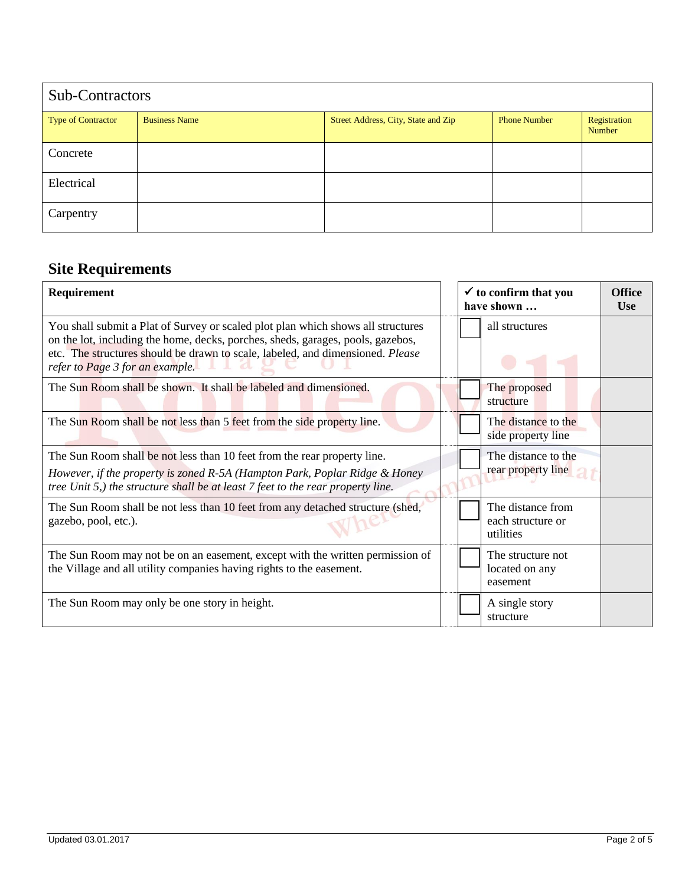| Sub-Contractors           |                      |                                     |                     |                        |  |
|---------------------------|----------------------|-------------------------------------|---------------------|------------------------|--|
| <b>Type of Contractor</b> | <b>Business Name</b> | Street Address, City, State and Zip | <b>Phone Number</b> | Registration<br>Number |  |
| Concrete                  |                      |                                     |                     |                        |  |
| Electrical                |                      |                                     |                     |                        |  |
| Carpentry                 |                      |                                     |                     |                        |  |

## **Site Requirements**

| <b>Requirement</b>                                                                                                                                                                                                                                                                       |  | $\checkmark$ to confirm that you<br>have shown      | <b>Office</b><br><b>Use</b> |
|------------------------------------------------------------------------------------------------------------------------------------------------------------------------------------------------------------------------------------------------------------------------------------------|--|-----------------------------------------------------|-----------------------------|
| You shall submit a Plat of Survey or scaled plot plan which shows all structures<br>on the lot, including the home, decks, porches, sheds, garages, pools, gazebos,<br>etc. The structures should be drawn to scale, labeled, and dimensioned. Please<br>refer to Page 3 for an example. |  | all structures                                      |                             |
| The Sun Room shall be shown. It shall be labeled and dimensioned.                                                                                                                                                                                                                        |  | The proposed<br>structure                           |                             |
| The Sun Room shall be not less than 5 feet from the side property line.                                                                                                                                                                                                                  |  | The distance to the<br>side property line           |                             |
| The Sun Room shall be not less than 10 feet from the rear property line.<br>However, if the property is zoned R-5A (Hampton Park, Poplar Ridge & Honey<br>tree Unit 5,) the structure shall be at least 7 feet to the rear property line.                                                |  | The distance to the<br>rear property line           |                             |
| The Sun Room shall be not less than 10 feet from any detached structure (shed,<br>gazebo, pool, etc.).                                                                                                                                                                                   |  | The distance from<br>each structure or<br>utilities |                             |
| The Sun Room may not be on an easement, except with the written permission of<br>the Village and all utility companies having rights to the easement.                                                                                                                                    |  | The structure not<br>located on any<br>easement     |                             |
| The Sun Room may only be one story in height.                                                                                                                                                                                                                                            |  | A single story<br>structure                         |                             |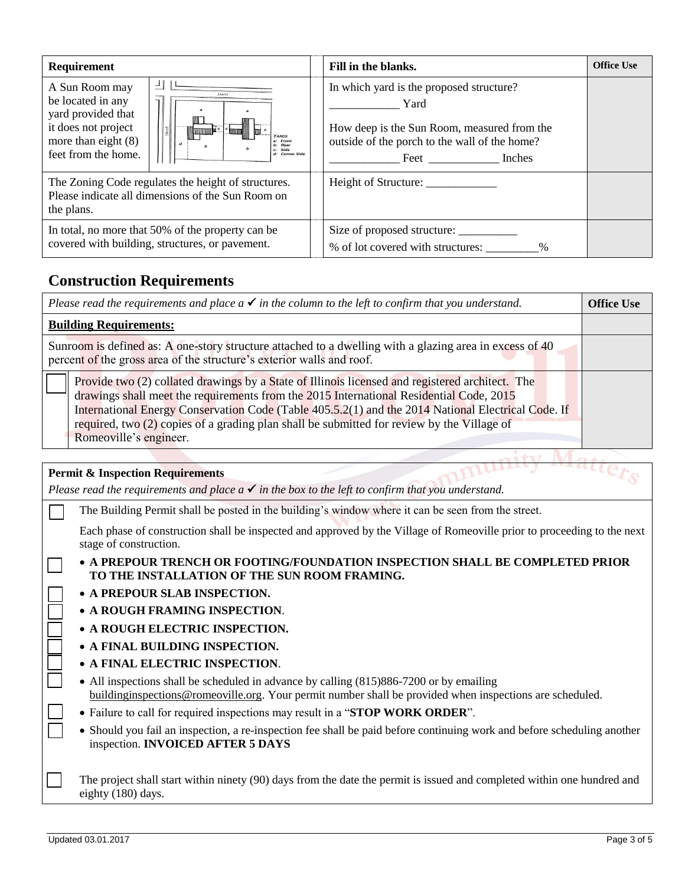| Requirement                                                                                                                                                                                | Fill in the blanks.                                                                                                                                             | <b>Office Use</b> |
|--------------------------------------------------------------------------------------------------------------------------------------------------------------------------------------------|-----------------------------------------------------------------------------------------------------------------------------------------------------------------|-------------------|
| A Sun Room may<br>be located in any<br>yard provided that<br>it does not project<br>YARDS<br>more than eight $(8)$<br>a: Front<br>b: Rear<br>Side<br>feet from the home.<br>d: Corner Side | In which yard is the proposed structure?<br>Yard<br>How deep is the Sun Room, measured from the<br>outside of the porch to the wall of the home?<br>Feet Inches |                   |
| The Zoning Code regulates the height of structures.<br>Please indicate all dimensions of the Sun Room on<br>the plans.                                                                     | Height of Structure:                                                                                                                                            |                   |
| In total, no more that 50% of the property can be<br>covered with building, structures, or pavement.                                                                                       | % of lot covered with structures: %                                                                                                                             |                   |

## **Construction Requirements**

| Please read the requirements and place $a \checkmark$ in the column to the left to confirm that you understand.                                                                                                                                                                                                                                                                                                          |  |
|--------------------------------------------------------------------------------------------------------------------------------------------------------------------------------------------------------------------------------------------------------------------------------------------------------------------------------------------------------------------------------------------------------------------------|--|
| <b>Building Requirements:</b>                                                                                                                                                                                                                                                                                                                                                                                            |  |
| Sunroom is defined as: A one-story structure attached to a dwelling with a glazing area in excess of 40<br>percent of the gross area of the structure's exterior walls and roof.                                                                                                                                                                                                                                         |  |
| Provide two (2) collated drawings by a State of Illinois licensed and registered architect. The<br>drawings shall meet the requirements from the 2015 International Residential Code, 2015<br>International Energy Conservation Code (Table 405.5.2(1) and the 2014 National Electrical Code. If<br>required, two (2) copies of a grading plan shall be submitted for review by the Village of<br>Romeoville's engineer. |  |

## **Permit & Inspection Requirements**

*Please read the requirements and place*  $a \checkmark$  *in the box to the left to confirm that you understand.* 

The Building Permit shall be posted in the building's window where it can be seen from the street.

Each phase of construction shall be inspected and approved by the Village of Romeoville prior to proceeding to the next stage of construction.

 **A PREPOUR TRENCH OR FOOTING/FOUNDATION INSPECTION SHALL BE COMPLETED PRIOR TO THE INSTALLATION OF THE SUN ROOM FRAMING.**

- **A PREPOUR SLAB INSPECTION.**
- **A ROUGH FRAMING INSPECTION**.
- **A ROUGH ELECTRIC INSPECTION.**
- **A FINAL BUILDING INSPECTION.**
- **A FINAL ELECTRIC INSPECTION**.
- All inspections shall be scheduled in advance by calling (815)886-7200 or by emailing buildinginspections@romeoville.org. Your permit number shall be provided when inspections are scheduled.
- Failure to call for required inspections may result in a "**STOP WORK ORDER**".
- Should you fail an inspection, a re-inspection fee shall be paid before continuing work and before scheduling another inspection. **INVOICED AFTER 5 DAYS**

The project shall start within ninety (90) days from the date the permit is issued and completed within one hundred and eighty (180) days.